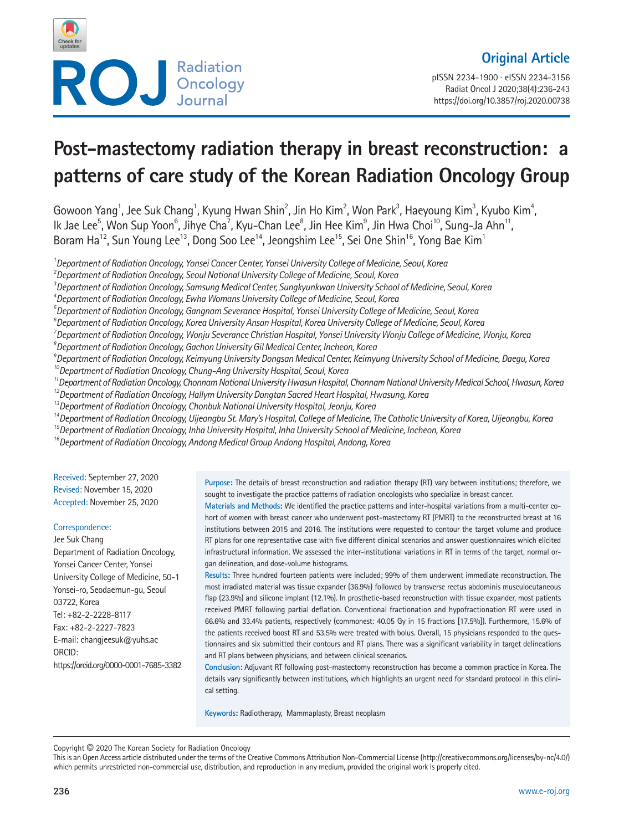

pISSN 2234-1900 · eISSN 2234-3156 Radiat Oncol J 2020;38(4):236-243 https://doi.org/10.3857/roj.2020.00738

# **Post-mastectomy radiation therapy in breast reconstruction: a patterns of care study of the Korean Radiation Oncology Group**

Gowoon Yang<sup>1</sup>, Jee Suk Chang<sup>1</sup>, Kyung Hwan Shin<sup>2</sup>, Jin Ho Kim<sup>2</sup>, Won Park<sup>3</sup>, Haeyoung Kim<sup>3</sup>, Kyubo Kim<sup>4</sup>, Ik Jae Lee<sup>5</sup>, Won Sup Yoon<sup>6</sup>, Jihye Cha<sup>7</sup>, Kyu-Chan Lee<sup>8</sup>, Jin Hee Kim<sup>9</sup>, Jin Hwa Choi<sup>10</sup>, Sung-Ja Ahn<sup>11</sup>, Boram Ha<sup>12</sup>, Sun Young Lee<sup>13</sup>, Dong Soo Lee<sup>14</sup>, Jeongshim Lee<sup>15</sup>, Sei One Shin<sup>16</sup>, Yong Bae Kim<sup>1</sup>

<sup>1</sup> Department of Radiation Oncology, Yonsei Cancer Center, Yonsei University College of Medicine, Seoul, Korea

*2 Department of Radiation Oncology, Seoul National University College of Medicine, Seoul, Korea* 

*3 Department of Radiation Oncology, Samsung Medical Center, Sungkyunkwan University School of Medicine, Seoul, Korea* 

*6 Department of Radiation Oncology, Korea University Ansan Hospital, Korea University College of Medicine, Seoul, Korea* 

- *7 Department of Radiation Oncology, Wonju Severance Christian Hospital, Yonsei University Wonju College of Medicine, Wonju, Korea*
- *8 Department of Radiation Oncology, Gachon University Gil Medical Center, Incheon, Korea*
- *9 Department of Radiation Oncology, Keimyung University Dongsan Medical Center, Keimyung University School of Medicine, Daegu, Korea*
- *10Department of Radiation Oncology, Chung-Ang University Hospital, Seoul, Korea*
- *11Department of Radiation Oncology, Chonnam National University Hwasun Hospital, Chonnam National University Medical School, Hwasun, Korea*

*12Department of Radiation Oncology, Hallym University Dongtan Sacred Heart Hospital, Hwasung, Korea* 

- *13Department of Radiation Oncology, Chonbuk National University Hospital, Jeonju, Korea*
- *14Department of Radiation Oncology, Uijeongbu St. Mary's Hospital, College of Medicine, The Catholic University of Korea, Uijeongbu, Korea*

*15Department of Radiation Oncology, Inha University Hospital, Inha University School of Medicine, Incheon, Korea* 

*16Department of Radiation Oncology, Andong Medical Group Andong Hospital, Andong, Korea* 

Received: September 27, 2020 Revised: November 15, 2020 Accepted: November 25, 2020

### Correspondence:

Jee Suk Chang Department of Radiation Oncology, Yonsei Cancer Center, Yonsei University College of Medicine, 50-1 Yonsei-ro, Seodaemun-gu, Seoul 03722, Korea Tel: +82-2-2228-8117 Fax: +82-2-2227-7823 E-mail: changjeesuk@yuhs.ac ORCID: https://orcid.org/0000-0001-7685-3382 **Purpose:** The details of breast reconstruction and radiation therapy (RT) vary between institutions; therefore, we sought to investigate the practice patterns of radiation oncologists who specialize in breast cancer.

**Materials and Methods:** We identified the practice patterns and inter-hospital variations from a multi-center cohort of women with breast cancer who underwent post-mastectomy RT (PMRT) to the reconstructed breast at 16 institutions between 2015 and 2016. The institutions were requested to contour the target volume and produce RT plans for one representative case with five different clinical scenarios and answer questionnaires which elicited infrastructural information. We assessed the inter-institutional variations in RT in terms of the target, normal organ delineation, and dose-volume histograms.

**Results:** Three hundred fourteen patients were included; 99% of them underwent immediate reconstruction. The most irradiated material was tissue expander (36.9%) followed by transverse rectus abdominis musculocutaneous flap (23.9%) and silicone implant (12.1%). In prosthetic-based reconstruction with tissue expander, most patients received PMRT following partial deflation. Conventional fractionation and hypofractionation RT were used in 66.6% and 33.4% patients, respectively (commonest: 40.05 Gy in 15 fractions [17.5%]). Furthermore, 15.6% of the patients received boost RT and 53.5% were treated with bolus. Overall, 15 physicians responded to the questionnaires and six submitted their contours and RT plans. There was a significant variability in target delineations and RT plans between physicians, and between clinical scenarios.

**Conclusion:** Adjuvant RT following post-mastectomy reconstruction has become a common practice in Korea. The details vary significantly between institutions, which highlights an urgent need for standard protocol in this clinical setting.

**Keywords:** Radiotherapy, Mammaplasty, Breast neoplasm

Copyright © 2020 The Korean Society for Radiation Oncology

This is an Open Access article distributed under the terms of the Creative Commons Attribution Non-Commercial License (http://creativecommons.org/licenses/by-nc/4.0/) which permits unrestricted non-commercial use, distribution, and reproduction in any medium, provided the original work is properly cited.

*<sup>4</sup> Department of Radiation Oncology, Ewha Womans University College of Medicine, Seoul, Korea* 

*<sup>5</sup> Department of Radiation Oncology, Gangnam Severance Hospital, Yonsei University College of Medicine, Seoul, Korea*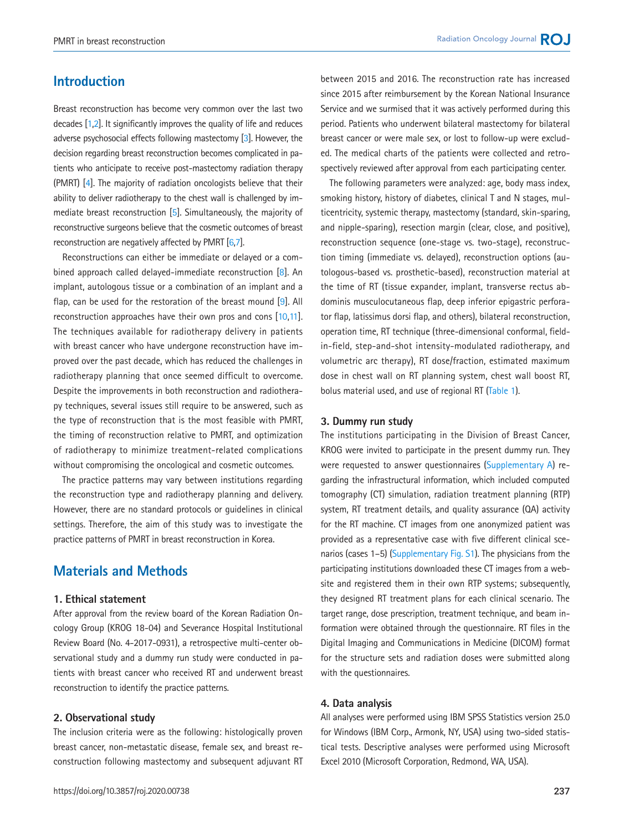## **Introduction**

Breast reconstruction has become very common over the last two decades [\[1](#page-6-0)[,2](#page-6-1)]. It significantly improves the quality of life and reduces adverse psychosocial effects following mastectomy [\[3](#page-6-2)]. However, the decision regarding breast reconstruction becomes complicated in patients who anticipate to receive post-mastectomy radiation therapy (PMRT) [\[4](#page-6-3)]. The majority of radiation oncologists believe that their ability to deliver radiotherapy to the chest wall is challenged by immediate breast reconstruction [\[5\]](#page-7-0). Simultaneously, the majority of reconstructive surgeons believe that the cosmetic outcomes of breast reconstruction are negatively affected by PMRT [\[6](#page-7-1)[,7](#page-7-2)].

Reconstructions can either be immediate or delayed or a combined approach called delayed-immediate reconstruction [\[8](#page-7-3)]. An implant, autologous tissue or a combination of an implant and a flap, can be used for the restoration of the breast mound [\[9](#page-7-4)]. All reconstruction approaches have their own pros and cons [\[10](#page-7-5)[,11](#page-7-6)]. The techniques available for radiotherapy delivery in patients with breast cancer who have undergone reconstruction have improved over the past decade, which has reduced the challenges in radiotherapy planning that once seemed difficult to overcome. Despite the improvements in both reconstruction and radiotherapy techniques, several issues still require to be answered, such as the type of reconstruction that is the most feasible with PMRT, the timing of reconstruction relative to PMRT, and optimization of radiotherapy to minimize treatment-related complications without compromising the oncological and cosmetic outcomes.

The practice patterns may vary between institutions regarding the reconstruction type and radiotherapy planning and delivery. However, there are no standard protocols or guidelines in clinical settings. Therefore, the aim of this study was to investigate the practice patterns of PMRT in breast reconstruction in Korea.

## **Materials and Methods**

## **1. Ethical statement**

After approval from the review board of the Korean Radiation Oncology Group (KROG 18-04) and Severance Hospital Institutional Review Board (No. 4-2017-0931), a retrospective multi-center observational study and a dummy run study were conducted in patients with breast cancer who received RT and underwent breast reconstruction to identify the practice patterns.

## **2. Observational study**

The inclusion criteria were as the following: histologically proven breast cancer, non-metastatic disease, female sex, and breast reconstruction following mastectomy and subsequent adjuvant RT between 2015 and 2016. The reconstruction rate has increased since 2015 after reimbursement by the Korean National Insurance Service and we surmised that it was actively performed during this period. Patients who underwent bilateral mastectomy for bilateral breast cancer or were male sex, or lost to follow-up were excluded. The medical charts of the patients were collected and retrospectively reviewed after approval from each participating center.

The following parameters were analyzed: age, body mass index, smoking history, history of diabetes, clinical T and N stages, multicentricity, systemic therapy, mastectomy (standard, skin-sparing, and nipple-sparing), resection margin (clear, close, and positive), reconstruction sequence (one-stage vs. two-stage), reconstruction timing (immediate vs. delayed), reconstruction options (autologous-based vs. prosthetic-based), reconstruction material at the time of RT (tissue expander, implant, transverse rectus abdominis musculocutaneous flap, deep inferior epigastric perforator flap, latissimus dorsi flap, and others), bilateral reconstruction, operation time, RT technique (three-dimensional conformal, fieldin-field, step-and-shot intensity-modulated radiotherapy, and volumetric arc therapy), RT dose/fraction, estimated maximum dose in chest wall on RT planning system, chest wall boost RT, bolus material used, and use of regional RT [\(Table 1](#page-2-0)).

### **3. Dummy run study**

The institutions participating in the Division of Breast Cancer, KROG were invited to participate in the present dummy run. They were requested to answer questionnaires [\(Supplementary A\)](#page-6-4) regarding the infrastructural information, which included computed tomography (CT) simulation, radiation treatment planning (RTP) system, RT treatment details, and quality assurance (QA) activity for the RT machine. CT images from one anonymized patient was provided as a representative case with five different clinical scenarios (cases 1–5) [\(Supplementary Fig. S1](#page-6-4)). The physicians from the participating institutions downloaded these CT images from a website and registered them in their own RTP systems; subsequently, they designed RT treatment plans for each clinical scenario. The target range, dose prescription, treatment technique, and beam information were obtained through the questionnaire. RT files in the Digital Imaging and Communications in Medicine (DICOM) format for the structure sets and radiation doses were submitted along with the questionnaires.

#### **4. Data analysis**

All analyses were performed using IBM SPSS Statistics version 25.0 for Windows (IBM Corp., Armonk, NY, USA) using two-sided statistical tests. Descriptive analyses were performed using Microsoft Excel 2010 (Microsoft Corporation, Redmond, WA, USA).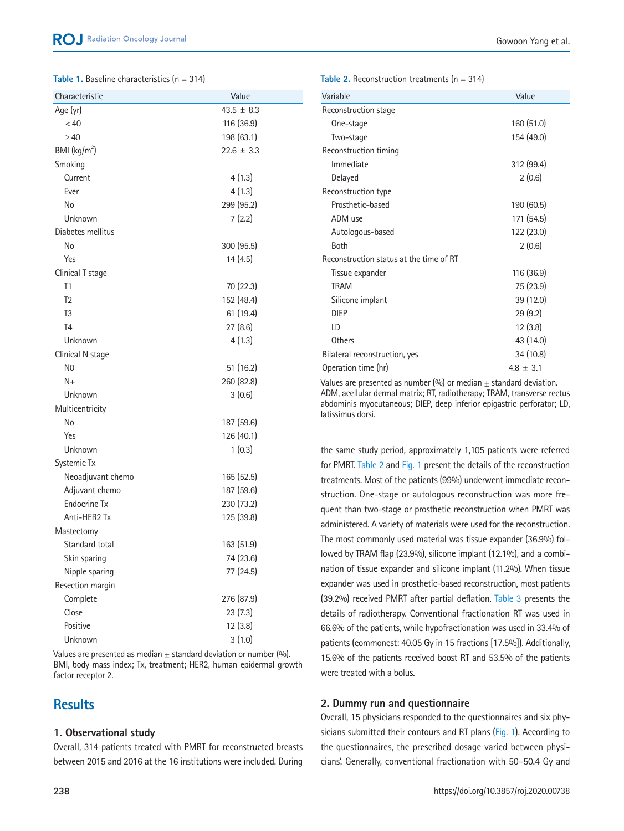#### <span id="page-2-0"></span>**Table 1.** Baseline characteristics (n = 314)

| Characteristic    | Value          |
|-------------------|----------------|
| Age (yr)          | $43.5 \pm 8.3$ |
| < 40              | 116 (36.9)     |
| $\geq 40$         | 198 (63.1)     |
| BMI $(kg/m2)$     | $22.6 \pm 3.3$ |
| Smoking           |                |
| Current           | 4(1.3)         |
| Ever              | 4(1.3)         |
| No                | 299 (95.2)     |
| Unknown           | 7(2.2)         |
| Diabetes mellitus |                |
| No                | 300 (95.5)     |
| Yes               | 14(4.5)        |
| Clinical T stage  |                |
| T1                | 70 (22.3)      |
| T <sub>2</sub>    | 152 (48.4)     |
| T <sub>3</sub>    | 61 (19.4)      |
| T <sub>4</sub>    | 27(8.6)        |
| Unknown           | 4(1.3)         |
| Clinical N stage  |                |
| N <sub>0</sub>    | 51 (16.2)      |
| N+                | 260 (82.8)     |
| Unknown           | 3(0.6)         |
| Multicentricity   |                |
| No                | 187 (59.6)     |
| Yes               | 126 (40.1)     |
| Unknown           | 1(0.3)         |
| Systemic Tx       |                |
| Neoadjuvant chemo | 165 (52.5)     |
| Adjuvant chemo    | 187 (59.6)     |
| Endocrine Tx      | 230 (73.2)     |
| Anti-HER2 Tx      | 125 (39.8)     |
| Mastectomy        |                |
| Standard total    | 163 (51.9)     |
| Skin sparing      | 74 (23.6)      |
| Nipple sparing    | 77 (24.5)      |
| Resection margin  |                |
| Complete          | 276 (87.9)     |
| Close             | 23(7.3)        |
| Positive          | 12(3.8)        |
| Unknown           | 3(1.0)         |

Values are presented as median  $\pm$  standard deviation or number (%). BMI, body mass index; Tx, treatment; HER2, human epidermal growth factor receptor 2.

# **Results**

## **1. Observational study**

Overall, 314 patients treated with PMRT for reconstructed breasts between 2015 and 2016 at the 16 institutions were included. During

## <span id="page-2-1"></span>**Table 2.** Reconstruction treatments (n = 314)

| Variable                                | Value         |
|-----------------------------------------|---------------|
| Reconstruction stage                    |               |
| One-stage                               | 160 (51.0)    |
| Two-stage                               | 154 (49.0)    |
| Reconstruction timing                   |               |
| Immediate                               | 312 (99.4)    |
| Delayed                                 | 2(0.6)        |
| Reconstruction type                     |               |
| Prosthetic-based                        | 190 (60.5)    |
| ADM use                                 | 171 (54.5)    |
| Autologous-based                        | 122 (23.0)    |
| <b>Both</b>                             | 2(0.6)        |
| Reconstruction status at the time of RT |               |
| Tissue expander                         | 116 (36.9)    |
| <b>TRAM</b>                             | 75 (23.9)     |
| Silicone implant                        | 39 (12.0)     |
| <b>DIEP</b>                             | 29(9.2)       |
| ID.                                     | 12(3.8)       |
| Others                                  | 43 (14.0)     |
| Bilateral reconstruction, yes           | 34(10.8)      |
| Operation time (hr)                     | $4.8 \pm 3.1$ |

Values are presented as number (%) or median  $\pm$  standard deviation. ADM, acellular dermal matrix; RT, radiotherapy; TRAM, transverse rectus abdominis myocutaneous; DIEP, deep inferior epigastric perforator; LD, latissimus dorsi.

the same study period, approximately 1,105 patients were referred for PMRT. [T](#page-2-1)able 2 and [Fig. 1](#page-7-7) present the details of the reconstruction treatments. Most of the patients (99%) underwent immediate reconstruction. One-stage or autologous reconstruction was more frequent than two-stage or prosthetic reconstruction when PMRT was administered. A variety of materials were used for the reconstruction. The most commonly used material was tissue expander (36.9%) followed by TRAM flap (23.9%), silicone implant (12.1%), and a combination of tissue expander and silicone implant (11.2%). When tissue expander was used in prosthetic-based reconstruction, most patients (39.2%) received PMRT after partial deflation. [Table 3](#page-4-0) presents the details of radiotherapy. Conventional fractionation RT was used in 66.6% of the patients, while hypofractionation was used in 33.4% of patients (commonest: 40.05 Gy in 15 fractions [17.5%]). Additionally, 15.6% of the patients received boost RT and 53.5% of the patients were treated with a bolus.

## **2. Dummy run and questionnaire**

Overall, 15 physicians responded to the questionnaires and six physicians submitted their contours and RT plans (Fig. 1). According to the questionnaires, the prescribed dosage varied between physicians'. Generally, conventional fractionation with 50–50.4 Gy and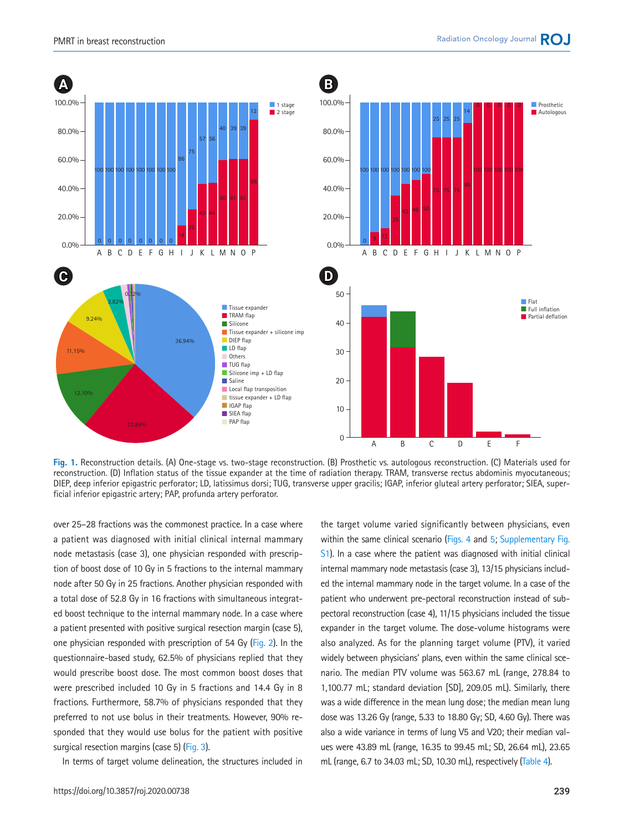

**Fig. 1.** Reconstruction details. (A) One-stage vs. two-stage reconstruction. (B) Prosthetic vs. autologous reconstruction. (C) Materials used for reconstruction. (D) Inflation status of the tissue expander at the time of radiation therapy. TRAM, transverse rectus abdominis myocutaneous; DIEP, deep inferior epigastric perforator; LD, latissimus dorsi; TUG, transverse upper gracilis; IGAP, inferior gluteal artery perforator; SIEA, superficial inferior epigastric artery; PAP, profunda artery perforator.

over 25–28 fractions was the commonest practice. In a case where a patient was diagnosed with initial clinical internal mammary node metastasis (case 3), one physician responded with prescription of boost dose of 10 Gy in 5 fractions to the internal mammary node after 50 Gy in 25 fractions. Another physician responded with a total dose of 52.8 Gy in 16 fractions with simultaneous integrated boost technique to the internal mammary node. In a case where a patient presented with positive surgical resection margin (case 5), one physician responded with prescription of 54 Gy [\(Fig. 2\)](#page-4-1). In the questionnaire-based study, 62.5% of physicians replied that they would prescribe boost dose. The most common boost doses that were prescribed included 10 Gy in 5 fractions and 14.4 Gy in 8 fractions. Furthermore, 58.7% of physicians responded that they preferred to not use bolus in their treatments. However, 90% responded that they would use bolus for the patient with positive surgical resection margins (case 5) [\(Fig. 3](#page-4-2)).

In terms of target volume delineation, the structures included in

the target volume varied significantly between physicians, even within the same clinical scenario [\(Figs. 4](#page-5-0) and [5](#page-5-1); Supplementary Fig. [S1\)](#page-6-4). In a case where the patient was diagnosed with initial clinical internal mammary node metastasis (case 3), 13/15 physicians included the internal mammary node in the target volume. In a case of the patient who underwent pre-pectoral reconstruction instead of subpectoral reconstruction (case 4), 11/15 physicians included the tissue expander in the target volume. The dose-volume histograms were also analyzed. As for the planning target volume (PTV), it varied widely between physicians' plans, even within the same clinical scenario. The median PTV volume was 563.67 mL (range, 278.84 to 1,100.77 mL; standard deviation [SD], 209.05 mL). Similarly, there was a wide difference in the mean lung dose; the median mean lung dose was 13.26 Gy (range, 5.33 to 18.80 Gy; SD, 4.60 Gy). There was also a wide variance in terms of lung V5 and V20; their median values were 43.89 mL (range, 16.35 to 99.45 mL; SD, 26.64 mL), 23.65 mL (range, 6.7 to 34.03 mL; SD, 10.30 mL), respectively [\(Table 4](#page-5-2)).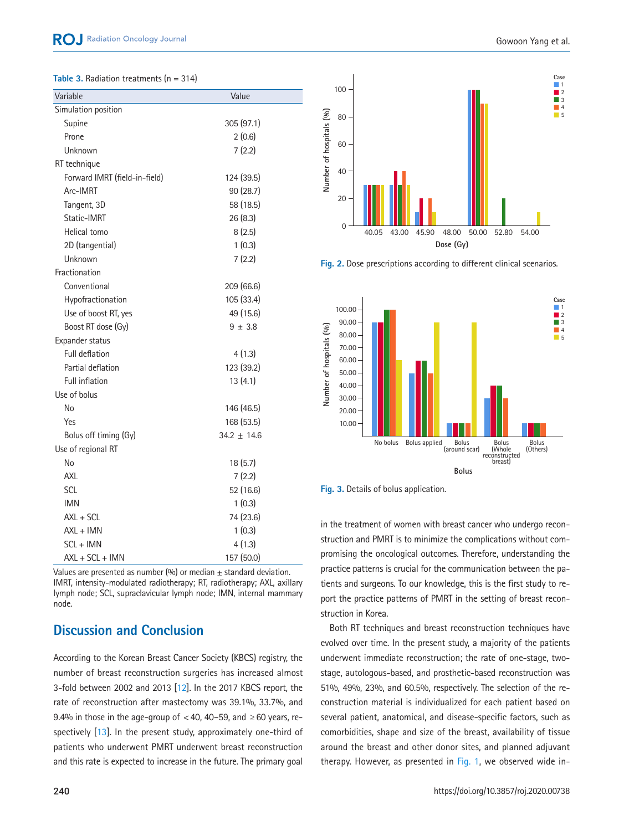### <span id="page-4-0"></span>**Table 3.** Radiation treatments (n = 314)

| Variable                      | Value           |
|-------------------------------|-----------------|
| Simulation position           |                 |
| Supine                        | 305 (97.1)      |
| Prone                         | 2(0.6)          |
| Unknown                       | 7(2.2)          |
| RT technique                  |                 |
| Forward IMRT (field-in-field) | 124 (39.5)      |
| Arc-IMRT                      | 90 (28.7)       |
| Tangent, 3D                   | 58 (18.5)       |
| Static-IMRT                   | 26(8.3)         |
| Helical tomo                  | 8(2.5)          |
| 2D (tangential)               | 1(0.3)          |
| Unknown                       | 7(2.2)          |
| Fractionation                 |                 |
| Conventional                  | 209 (66.6)      |
| Hypofractionation             | 105 (33.4)      |
| Use of boost RT, yes          | 49 (15.6)       |
| Boost RT dose (Gy)            | $9 \pm 3.8$     |
| Expander status               |                 |
| Full deflation                | 4(1.3)          |
| Partial deflation             | 123 (39.2)      |
| Full inflation                | 13(4.1)         |
| Use of bolus                  |                 |
| No                            | 146 (46.5)      |
| Yes                           | 168 (53.5)      |
| Bolus off timing (Gy)         | $34.2 \pm 14.6$ |
| Use of regional RT            |                 |
| No                            | 18(5.7)         |
| AXL                           | 7(2.2)          |
| <b>SCL</b>                    | 52 (16.6)       |
| <b>IMN</b>                    | 1(0.3)          |
| $AXL + SCL$                   | 74 (23.6)       |
| $AXL + IMN$                   | 1(0.3)          |
| $SCL + IMN$                   | 4(1.3)          |
| $AXL + SCL + IMN$             | 157 (50.0)      |

Values are presented as number (%) or median  $\pm$  standard deviation. IMRT, intensity-modulated radiotherapy; RT, radiotherapy; AXL, axillary lymph node; SCL, supraclavicular lymph node; IMN, internal mammary node.

# **Discussion and Conclusion**

According to the Korean Breast Cancer Society (KBCS) registry, the number of breast reconstruction surgeries has increased almost 3-fold between 2002 and 2013 [\[12\]](#page-7-8). In the 2017 KBCS report, the rate of reconstruction after mastectomy was 39.1%, 33.7%, and 9.4% in those in the age-group of  $<$  40, 40–59, and  $\geq$  60 years, respectively [\[13\]](#page-7-9). In the present study, approximately one-third of patients who underwent PMRT underwent breast reconstruction and this rate is expected to increase in the future. The primary goal

<span id="page-4-1"></span>

**Fig. 2.** Dose prescriptions according to different clinical scenarios.

<span id="page-4-2"></span>



in the treatment of women with breast cancer who undergo reconstruction and PMRT is to minimize the complications without compromising the oncological outcomes. Therefore, understanding the practice patterns is crucial for the communication between the patients and surgeons. To our knowledge, this is the first study to report the practice patterns of PMRT in the setting of breast reconstruction in Korea.

Both RT techniques and breast reconstruction techniques have evolved over time. In the present study, a majority of the patients underwent immediate reconstruction; the rate of one-stage, twostage, autologous-based, and prosthetic-based reconstruction was 51%, 49%, 23%, and 60.5%, respectively. The selection of the reconstruction material is individualized for each patient based on several patient, anatomical, and disease-specific factors, such as comorbidities, shape and size of the breast, availability of tissue around the breast and other donor sites, and planned adjuvant therapy. However, as presented in Fig. 1, we observed wide in-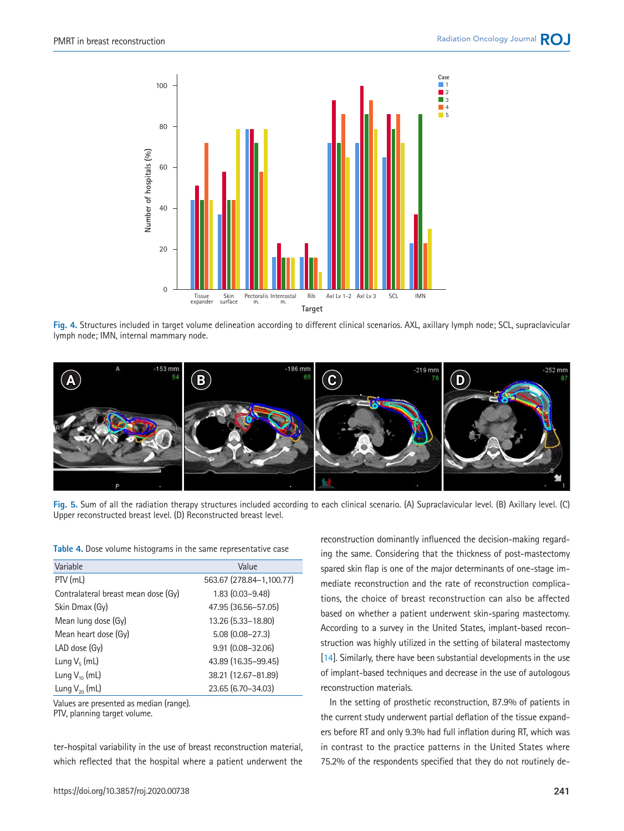<span id="page-5-0"></span>

**Fig. 4.** Structures included in target volume delineation according to different clinical scenarios. AXL, axillary lymph node; SCL, supraclavicular lymph node; IMN, internal mammary node.

<span id="page-5-1"></span>

**Fig. 5.** Sum of all the radiation therapy structures included according to each clinical scenario. (A) Supraclavicular level. (B) Axillary level. (C) Upper reconstructed breast level. (D) Reconstructed breast level.

<span id="page-5-2"></span>**Table 4.** Dose volume histograms in the same representative case

| Variable                            | Value                    |
|-------------------------------------|--------------------------|
| PTV (mL)                            | 563.67 (278.84-1,100.77) |
| Contralateral breast mean dose (Gy) | $1.83(0.03 - 9.48)$      |
| Skin Dmax (Gy)                      | 47.95 (36.56-57.05)      |
| Mean lung dose (Gy)                 | 13.26 (5.33-18.80)       |
| Mean heart dose (Gy)                | $5.08(0.08 - 27.3)$      |
| $LAD$ dose $(Gy)$                   | $9.91(0.08 - 32.06)$     |
| Lung $V_{5}$ (mL)                   | 43.89 (16.35-99.45)      |
| Lung $V_{10}$ (mL)                  | 38.21 (12.67-81.89)      |
| Lung $V_{20}$ (mL)                  | 23.65 (6.70-34.03)       |

Values are presented as median (range).

PTV, planning target volume.

ter-hospital variability in the use of breast reconstruction material, which reflected that the hospital where a patient underwent the reconstruction dominantly influenced the decision-making regarding the same. Considering that the thickness of post-mastectomy spared skin flap is one of the major determinants of one-stage immediate reconstruction and the rate of reconstruction complications, the choice of breast reconstruction can also be affected based on whether a patient underwent skin-sparing mastectomy. According to a survey in the United States, implant-based reconstruction was highly utilized in the setting of bilateral mastectomy [\[14\]](#page-7-10). Similarly, there have been substantial developments in the use of implant-based techniques and decrease in the use of autologous reconstruction materials.

In the setting of prosthetic reconstruction, 87.9% of patients in the current study underwent partial deflation of the tissue expanders before RT and only 9.3% had full inflation during RT, which was in contrast to the practice patterns in the United States where 75.2% of the respondents specified that they do not routinely de-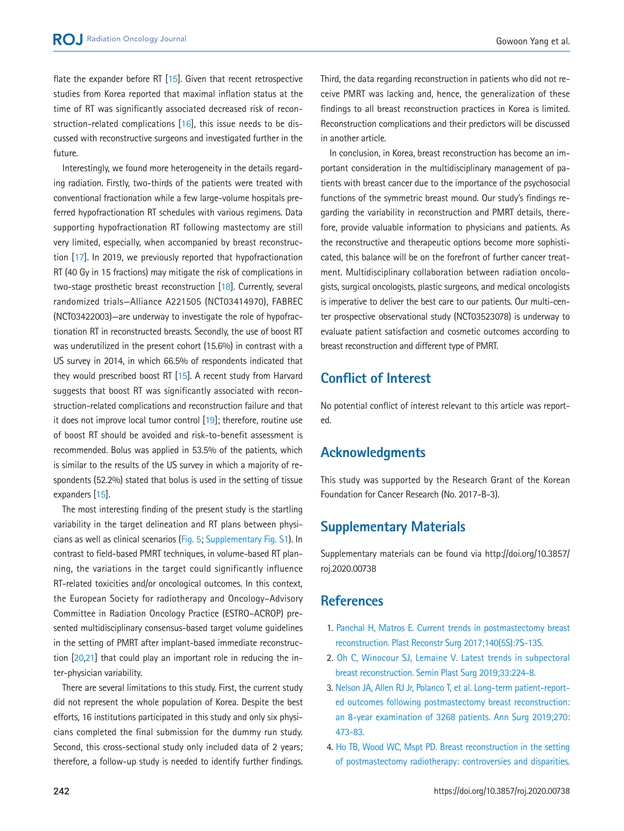flate the expander before RT [\[15\]](#page-7-11). Given that recent retrospective studies from Korea reported that maximal inflation status at the time of RT was significantly associated decreased risk of reconstruction-related complications [\[16](#page-7-12)], this issue needs to be discussed with reconstructive surgeons and investigated further in the future.

Interestingly, we found more heterogeneity in the details regarding radiation. Firstly, two-thirds of the patients were treated with conventional fractionation while a few large-volume hospitals preferred hypofractionation RT schedules with various regimens. Data supporting hypofractionation RT following mastectomy are still very limited, especially, when accompanied by breast reconstruction [\[17](#page-7-13)]. In 2019, we previously reported that hypofractionation RT (40 Gy in 15 fractions) may mitigate the risk of complications in two-stage prosthetic breast reconstruction [\[18](#page-7-14)]. Currently, several randomized trials—Alliance A221505 (NCT03414970), FABREC (NCT03422003)—are underway to investigate the role of hypofractionation RT in reconstructed breasts. Secondly, the use of boost RT was underutilized in the present cohort (15.6%) in contrast with a US survey in 2014, in which 66.5% of respondents indicated that they would prescribed boost RT [\[15\]](#page-7-11). A recent study from Harvard suggests that boost RT was significantly associated with reconstruction-related complications and reconstruction failure and that it does not improve local tumor control  $[19]$ ; therefore, routine use of boost RT should be avoided and risk-to-benefit assessment is recommended. Bolus was applied in 53.5% of the patients, which is similar to the results of the US survey in which a majority of respondents (52.2%) stated that bolus is used in the setting of tissue expanders [\[15\]](#page-7-11).

The most interesting finding of the present study is the startling variability in the target delineation and RT plans between physicians as well as clinical scenarios (Fig. 5; [Supplementary Fig. S1\)](#page-6-0). In contrast to field-based PMRT techniques, in volume-based RT planning, the variations in the target could significantly influence RT-related toxicities and/or oncological outcomes. In this context, the European Society for radiotherapy and Oncology–Advisory Committee in Radiation Oncology Practice (ESTRO–ACROP) presented multidisciplinary consensus-based target volume guidelines in the setting of PMRT after implant-based immediate reconstruction [\[20,](#page-7-16)[21](#page-7-17)] that could play an important role in reducing the inter-physician variability.

There are several limitations to this study. First, the current study did not represent the whole population of Korea. Despite the best efforts, 16 institutions participated in this study and only six physicians completed the final submission for the dummy run study. Second, this cross-sectional study only included data of 2 years; therefore, a follow-up study is needed to identify further findings. Third, the data regarding reconstruction in patients who did not receive PMRT was lacking and, hence, the generalization of these findings to all breast reconstruction practices in Korea is limited. Reconstruction complications and their predictors will be discussed in another article.

In conclusion, in Korea, breast reconstruction has become an important consideration in the multidisciplinary management of patients with breast cancer due to the importance of the psychosocial functions of the symmetric breast mound. Our study's findings regarding the variability in reconstruction and PMRT details, therefore, provide valuable information to physicians and patients. As the reconstructive and therapeutic options become more sophisticated, this balance will be on the forefront of further cancer treatment. Multidisciplinary collaboration between radiation oncologists, surgical oncologists, plastic surgeons, and medical oncologists is imperative to deliver the best care to our patients. Our multi-center prospective observational study (NCT03523078) is underway to evaluate patient satisfaction and cosmetic outcomes according to breast reconstruction and different type of PMRT.

# **Conflict of Interest**

No potential conflict of interest relevant to this article was reported.

# **Acknowledgments**

This study was supported by the Research Grant of the Korean Foundation for Cancer Research (No. 2017-B-3).

# <span id="page-6-4"></span>**Supplementary Materials**

Supplementary materials can be found via http://doi.org/10.3857/ roj.2020.00738

# **References**

- <span id="page-6-0"></span>1. [Panchal H, Matros E. Current trends in postmastectomy breast](https://doi.org/10.1097/PRS.0000000000003941) [reconstruction. Plast Reconstr Surg 2017;140\(5S\):7S-13S.](https://doi.org/10.1097/PRS.0000000000003941)
- <span id="page-6-1"></span>2. [Oh C, Winocour SJ, Lemaine V. Latest trends in subpectoral](https://doi.org/10.1055/s-0039-1696964)  [breast reconstruction. Semin Plast Surg 2019;33:224-8.](https://doi.org/10.1055/s-0039-1696964)
- <span id="page-6-2"></span>3. [Nelson JA, Allen RJ Jr, Polanco T, et al. Long-term patient-report](https://doi.org/10.1097/SLA.0000000000003467)[ed outcomes following postmastectomy breast reconstruction:](https://doi.org/10.1097/SLA.0000000000003467)  [an 8-year examination of 3268 patients. Ann Surg 2019;270:](https://doi.org/10.1097/SLA.0000000000003467) [473-83.](https://doi.org/10.1097/SLA.0000000000003467)
- <span id="page-6-3"></span>[4. Ho TB, Wood WC, Mspt PD. Breast reconstruction in the setting](https://www.ncbi.nlm.nih.gov/pubmed/31914197)  [of postmastectomy radiotherapy: controversies and disparities.](https://www.ncbi.nlm.nih.gov/pubmed/31914197)